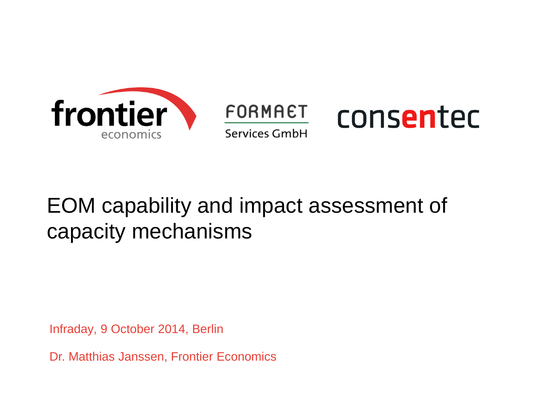

#### FORMAET consented Services GmbH

## EOM capability and impact assessment of capacity mechanisms

Infraday, 9 October 2014, Berlin

Dr. Matthias Janssen, Frontier Economics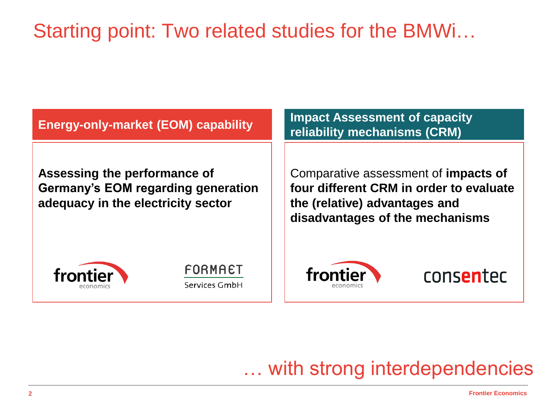### Starting point: Two related studies for the BMWi…

**Energy-only-market (EOM) capability**

**Assessing the performance of Germany's EOM regarding generation adequacy in the electricity sector**

**Impact Assessment of capacity reliability mechanisms (CRM)**

Comparative assessment of **impacts of four different CRM in order to evaluate the (relative) advantages and disadvantages of the mechanisms**







consentec

… with strong interdependencies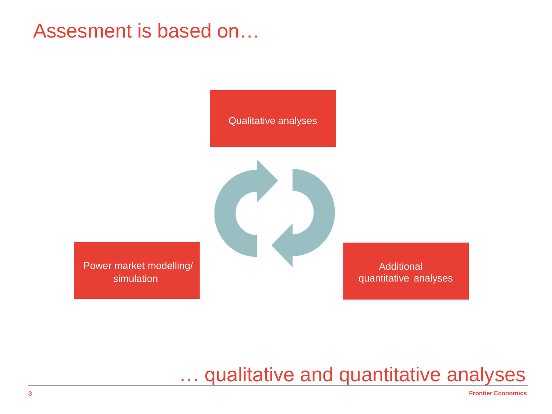#### Assesment is based on…

Qualitative analyses

Power market modelling/ simulation

Additional quantitative analyses

… qualitative and quantitative analyses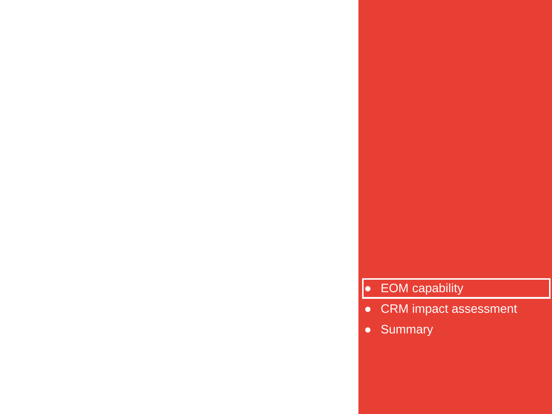- **EOM capability**<br>● CRM impact assessment<br>● Summary
	-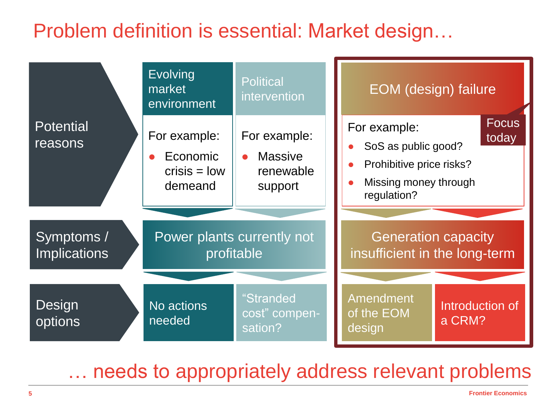#### Problem definition is essential: Market design…

| <b>Potential</b><br>reasons       | <b>Evolving</b><br>market<br>environment              | <b>Political</b><br>intervention                                    | EOM (design) failure                                                                                    |                           |
|-----------------------------------|-------------------------------------------------------|---------------------------------------------------------------------|---------------------------------------------------------------------------------------------------------|---------------------------|
|                                   | For example:<br>Economic<br>$crisis = low$<br>demeand | For example:<br><b>Massive</b><br>$\bullet$<br>renewable<br>support | For example:<br>SoS as public good?<br>Prohibitive price risks?<br>Missing money through<br>regulation? | <b>Focus</b><br>today     |
|                                   |                                                       |                                                                     |                                                                                                         |                           |
| Symptoms /<br><b>Implications</b> | Power plants currently not<br>profitable              |                                                                     | <b>Generation capacity</b><br>insufficient in the long-term                                             |                           |
|                                   |                                                       |                                                                     |                                                                                                         |                           |
| Design<br>options                 | No actions<br>needed                                  | "Stranded<br>cost" compen-<br>sation?                               | Amendment<br>of the EOM<br>design                                                                       | Introduction of<br>a CRM? |

… needs to appropriately address relevant problems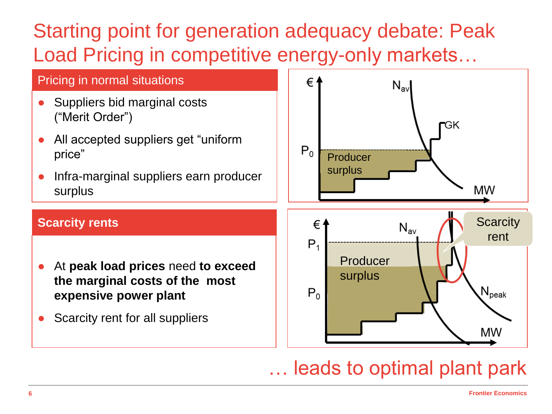## Starting point for generation adequacy debate: Peak Load Pricing in competitive energy-only markets…



#### … leads to optimal plant park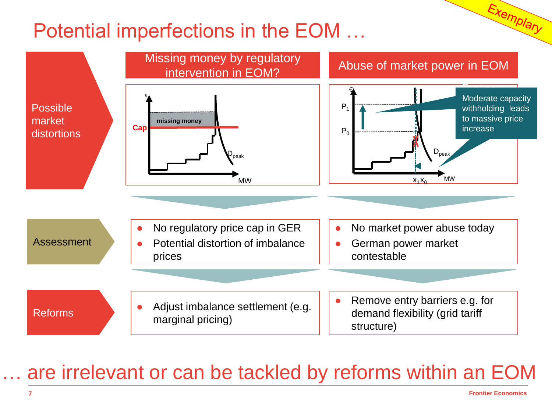#### Potential imperfections in the EOM …



#### are irrelevant or can be tackled by reforms within an EOM

Exemplary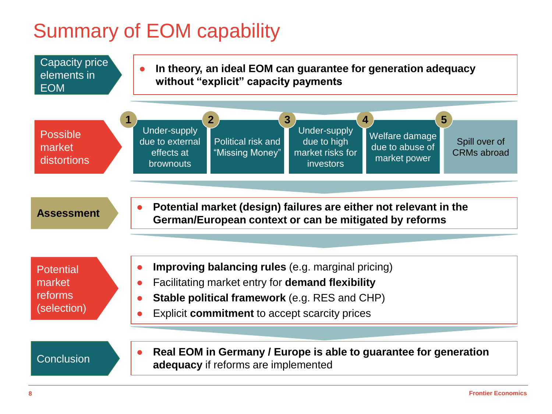#### Summary of EOM capability

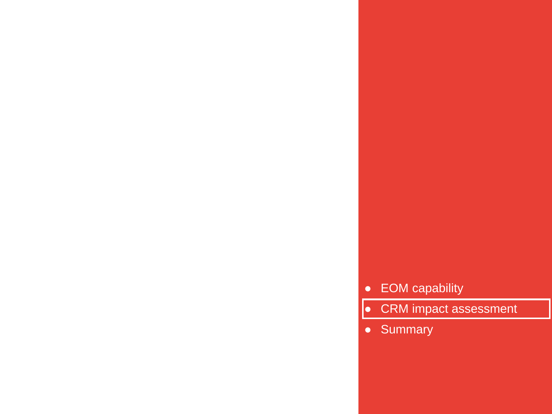- EOM capability<br>● CRM impact assessment<br>● Summary
	-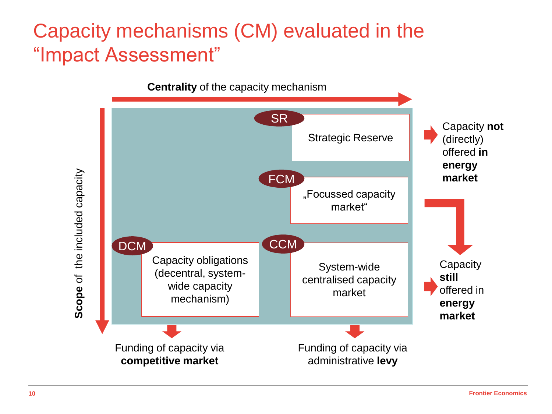#### Capacity mechanisms (CM) evaluated in the "Impact Assessment"

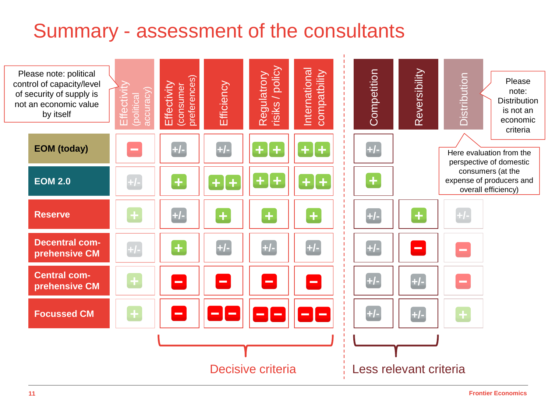#### Summary - assessment of the consultants

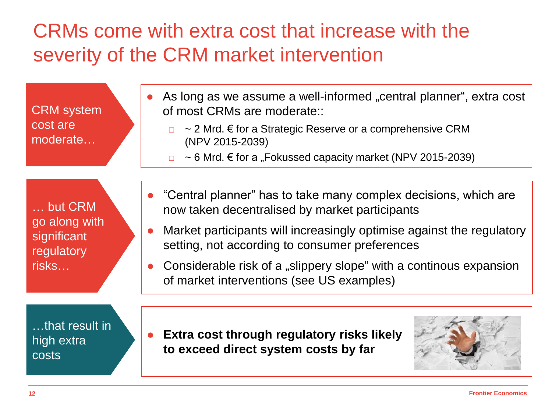### CRMs come with extra cost that increase with the severity of the CRM market intervention

CRM system cost are moderate…

… but CRM go along with significant regulatory risks…

…that result in high extra costs

- As long as we assume a well-informed "central planner", extra cost of most CRMs are moderate::
	- $\Box$  ~ 2 Mrd.  $\epsilon$  for a Strategic Reserve or a comprehensive CRM (NPV 2015-2039)
	- $\Box$  ~ 6 Mrd.  $\epsilon$  for a "Fokussed capacity market (NPV 2015-2039)
- "Central planner" has to take many complex decisions, which are now taken decentralised by market participants
- Market participants will increasingly optimise against the regulatory setting, not according to consumer preferences
- Considerable risk of a "slippery slope" with a continous expansion of market interventions (see US examples)
- **Extra cost through regulatory risks likely to exceed direct system costs by far**

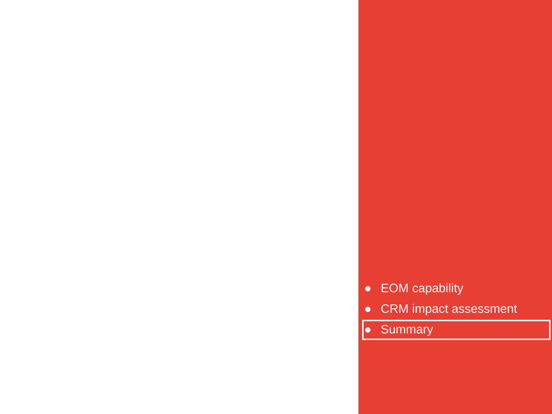- 
- EOM capability<br>● CRM impact assessment<br>● Summary
	-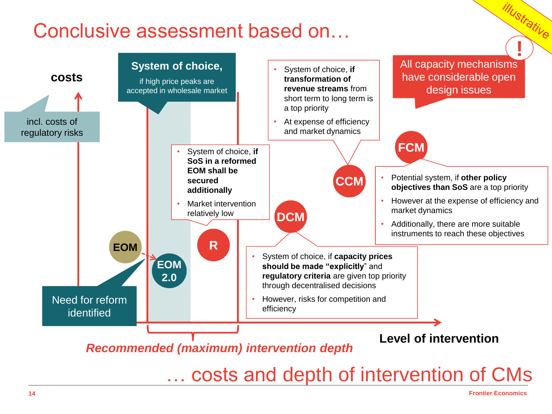#### Conclusive assessment based on…



*IIIUstrative*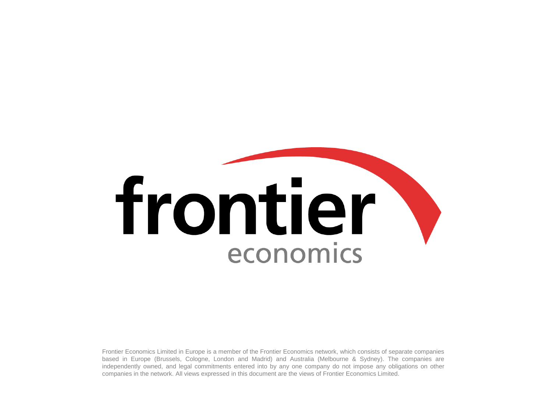# frontier economics

Frontier Economics Limited in Europe is a member of the Frontier Economics network, which consists of separate companies based in Europe (Brussels, Cologne, London and Madrid) and Australia (Melbourne & Sydney). The companies are independently owned, and legal commitments entered into by any one company do not impose any obligations on other companies in the network. All views expressed in this document are the views of Frontier Economics Limited.